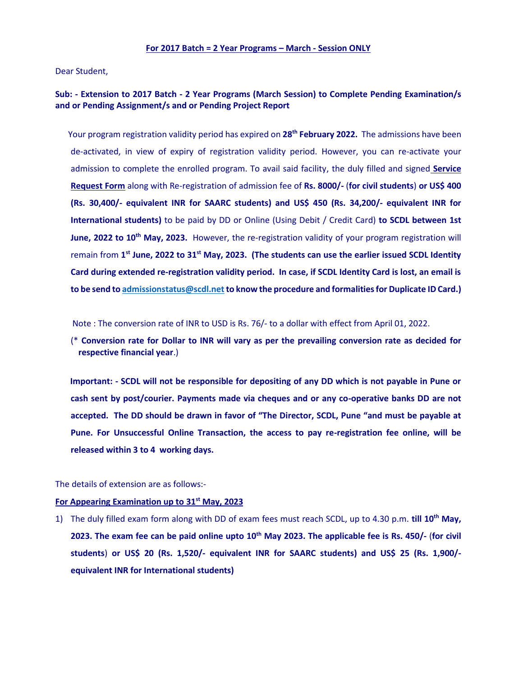## **For 2017 Batch = 2 Year Programs – March - Session ONLY**

Dear Student,

# **Sub: - Extension to 2017 Batch - 2 Year Programs (March Session) to Complete Pending Examination/s and or Pending Assignment/s and or Pending Project Report**

 Your program registration validity period has expired on **28th February 2022.** The admissions have been de-activated, in view of expiry of registration validity period. However, you can re-activate your admission to complete the enrolled program. To avail said facility, the duly filled and signed **Service Request Form** along with Re-registration of admission fee of **Rs. 8000/-** (**for civil students**) **or US\$ 400 (Rs. 30,400/- equivalent INR for SAARC students) and US\$ 450 (Rs. 34,200/- equivalent INR for International students)** to be paid by DD or Online (Using Debit / Credit Card) **to SCDL between 1st June, 2022 to 10<sup>th</sup> May, 2023.** However, the re-registration validity of your program registration will remain from **1 st June, 2022 to 31st May, 2023. (The students can use the earlier issued SCDL Identity Card during extended re-registration validity period. In case, if SCDL Identity Card is lost, an email is to be send t[o admissionstatus@scdl.net](mailto:admissionstatus@scdl.net) to know the procedure and formalities for Duplicate ID Card.)**

Note : The conversion rate of INR to USD is Rs. 76/- to a dollar with effect from April 01, 2022.

(\* **Conversion rate for Dollar to INR will vary as per the prevailing conversion rate as decided for respective financial year**.)

 **Important: - SCDL will not be responsible for depositing of any DD which is not payable in Pune or cash sent by post/courier. Payments made via cheques and or any co-operative banks DD are not accepted. The DD should be drawn in favor of "The Director, SCDL, Pune "and must be payable at Pune. For Unsuccessful Online Transaction, the access to pay re-registration fee online, will be released within 3 to 4 working days.** 

The details of extension are as follows:-

#### **For Appearing Examination up to 31st May, 2023**

1) The duly filled exam form along with DD of exam fees must reach SCDL, up to 4.30 p.m. **till 10th May, 2023. The exam fee can be paid online upto 10 th May 2023. The applicable fee is Rs. 450/-** (**for civil students**) **or US\$ 20 (Rs. 1,520/- equivalent INR for SAARC students) and US\$ 25 (Rs. 1,900/ equivalent INR for International students)**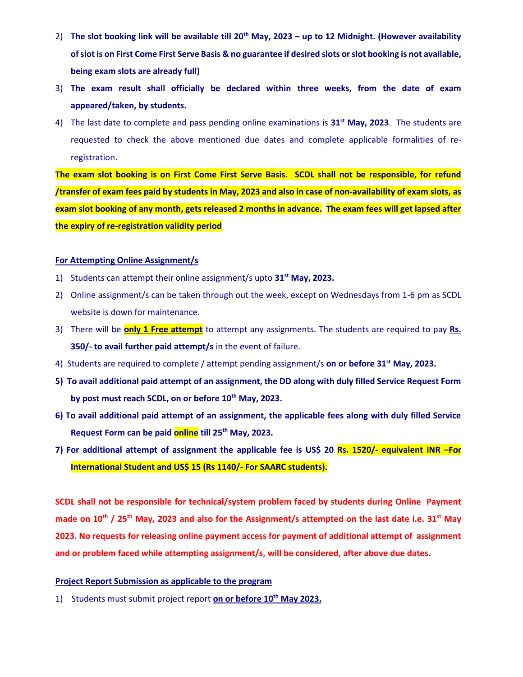- 2) **The slot booking link will be available till 20 th May, 2023 – up to 12 Midnight. (However availability of slot is on First Come First Serve Basis & no guarantee if desired slots orslot booking is not available, being exam slots are already full)**
- 3) **The exam result shall officially be declared within three weeks, from the date of exam appeared/taken, by students.**
- 4) The last date to complete and pass pending online examinations is **31st May, 2023**. The students are requested to check the above mentioned due dates and complete applicable formalities of reregistration.

**The exam slot booking is on First Come First Serve Basis. SCDL shall not be responsible, for refund /transfer of exam fees paid by students in May, 2023 and also in case of non-availability of exam slots, as exam slot booking of any month, gets released 2 months in advance. The exam fees will get lapsed after the expiry of re-registration validity period**

# **For Attempting Online Assignment/s**

- 1) Students can attempt their online assignment/s upto **31st May, 2023.**
- 2) Online assignment/s can be taken through out the week, except on Wednesdays from 1-6 pm as SCDL website is down for maintenance.
- 3) There will be **only 1 Free attempt** to attempt any assignments. The students are required to pay **Rs. 350/- to avail further paid attempt/s** in the event of failure.
- 4) Students are required to complete / attempt pending assignment/s **on or before 31st May, 2023.**
- **5) To avail additional paid attempt of an assignment, the DD along with duly filled Service Request Form by post must reach SCDL, on or before 10th May, 2023.**
- **6) To avail additional paid attempt of an assignment, the applicable fees along with duly filled Service Request Form can be paid online till 25th May, 2023.**
- **7) For additional attempt of assignment the applicable fee is US\$ 20 Rs. 1520/- equivalent INR –For International Student and US\$ 15 (Rs 1140/- For SAARC students).**

**SCDL shall not be responsible for technical/system problem faced by students during Online Payment made on 10 th / 25th May, 2023 and also for the Assignment/s attempted on the last date i.e. 31st May 2023. No requests for releasing online payment access for payment of additional attempt of assignment and or problem faced while attempting assignment/s, will be considered, after above due dates.**

## **Project Report Submission as applicable to the program**

1) Students must submit project report **on or before 10th May 2023.**